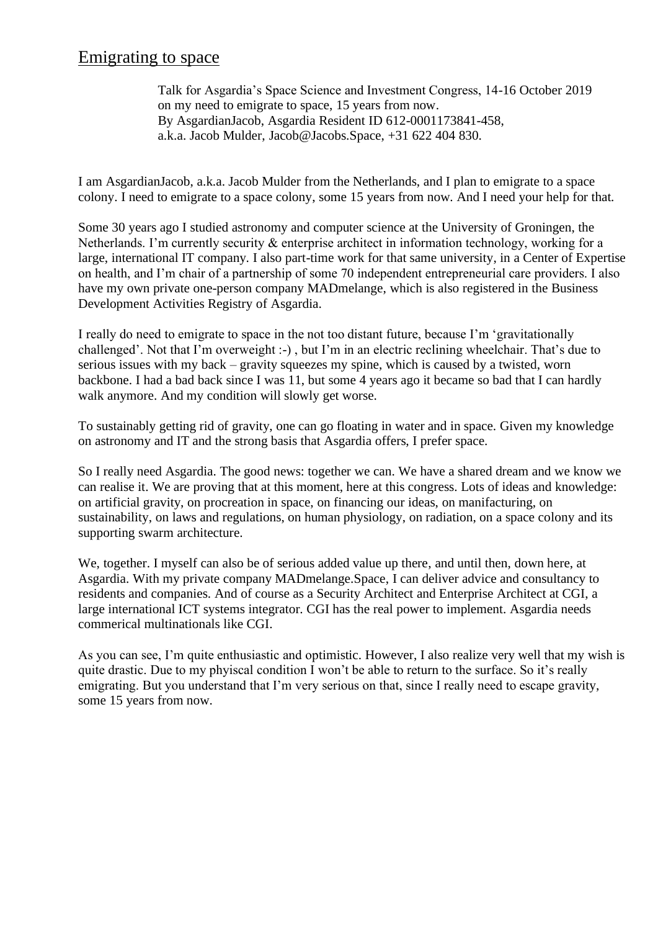## Emigrating to space

Talk for Asgardia's Space Science and Investment Congress, 14-16 October 2019 on my need to emigrate to space, 15 years from now. By AsgardianJacob, Asgardia Resident ID 612-0001173841-458, a.k.a. Jacob Mulder, Jacob@Jacobs.Space, +31 622 404 830.

I am AsgardianJacob, a.k.a. Jacob Mulder from the Netherlands, and I plan to emigrate to a space colony. I need to emigrate to a space colony, some 15 years from now. And I need your help for that.

Some 30 years ago I studied astronomy and computer science at the University of Groningen, the Netherlands. I'm currently security & enterprise architect in information technology, working for a large, international IT company. I also part-time work for that same university, in a Center of Expertise on health, and I'm chair of a partnership of some 70 independent entrepreneurial care providers. I also have my own private one-person company MADmelange, which is also registered in the Business Development Activities Registry of Asgardia.

I really do need to emigrate to space in the not too distant future, because I'm 'gravitationally challenged'. Not that I'm overweight :-) , but I'm in an electric reclining wheelchair. That's due to serious issues with my back – gravity squeezes my spine, which is caused by a twisted, worn backbone. I had a bad back since I was 11, but some 4 years ago it became so bad that I can hardly walk anymore. And my condition will slowly get worse.

To sustainably getting rid of gravity, one can go floating in water and in space. Given my knowledge on astronomy and IT and the strong basis that Asgardia offers, I prefer space.

So I really need Asgardia. The good news: together we can. We have a shared dream and we know we can realise it. We are proving that at this moment, here at this congress. Lots of ideas and knowledge: on artificial gravity, on procreation in space, on financing our ideas, on manifacturing, on sustainability, on laws and regulations, on human physiology, on radiation, on a space colony and its supporting swarm architecture.

We, together. I myself can also be of serious added value up there, and until then, down here, at Asgardia. With my private company MADmelange.Space, I can deliver advice and consultancy to residents and companies. And of course as a Security Architect and Enterprise Architect at CGI, a large international ICT systems integrator. CGI has the real power to implement. Asgardia needs commerical multinationals like CGI.

As you can see, I'm quite enthusiastic and optimistic. However, I also realize very well that my wish is quite drastic. Due to my phyiscal condition I won't be able to return to the surface. So it's really emigrating. But you understand that I'm very serious on that, since I really need to escape gravity, some 15 years from now.